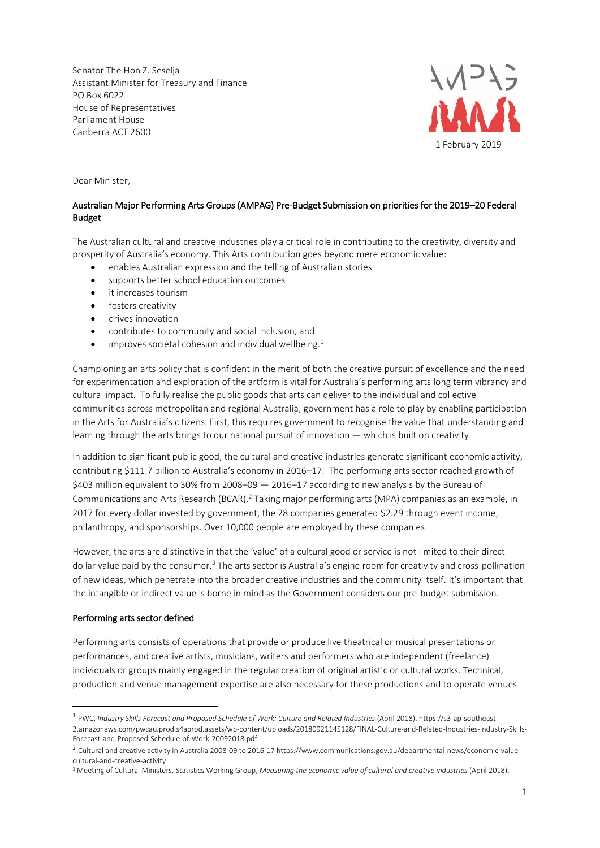Senator The Hon Z. Seselja Assistant Minister for Treasury and Finance PO Box 6022 House of Representatives Parliament House Canberra ACT 2600



Dear Minister,

# Australian Major Performing Arts Groups (AMPAG) Pre-Budget Submission on priorities for the 2019–20 Federal Budget

The Australian cultural and creative industries play a critical role in contributing to the creativity, diversity and prosperity of Australia's economy. This Arts contribution goes beyond mere economic value:

- enables Australian expression and the telling of Australian stories
- supports better school education outcomes
- it increases tourism
- fosters creativity
- drives innovation
- contributes to community and social inclusion, and
- $\bullet$  improves societal cohesion and individual wellbeing.<sup>1</sup>

Championing an arts policy that is confident in the merit of both the creative pursuit of excellence and the need for experimentation and exploration of the artform is vital for Australia's performing arts long term vibrancy and cultural impact. To fully realise the public goods that arts can deliver to the individual and collective communities across metropolitan and regional Australia, government has a role to play by enabling participation in the Arts for Australia's citizens. First, this requires government to recognise the value that understanding and learning through the arts brings to our national pursuit of innovation — which is built on creativity.

In addition to significant public good, the cultural and creative industries generate significant economic activity, contributing \$111.7 billion to Australia's economy in 2016–17. The performing arts sector reached growth of \$403 million equivalent to 30% from 2008–09 — 2016–17 according to new analysis by the Bureau of Communications and Arts Research (BCAR).<sup>2</sup> Taking major performing arts (MPA) companies as an example, in 2017 for every dollar invested by government, the 28 companies generated \$2.29 through event income, philanthropy, and sponsorships. Over 10,000 people are employed by these companies.

However, the arts are distinctive in that the 'value' of a cultural good or service is not limited to their direct dollar value paid by the consumer.<sup>3</sup> The arts sector is Australia's engine room for creativity and cross-pollination of new ideas, which penetrate into the broader creative industries and the community itself. It's important that the intangible or indirect value is borne in mind as the Government considers our pre-budget submission.

## Performing arts sector defined

1

Performing arts consists of operations that provide or produce live theatrical or musical presentations or performances, and creative artists, musicians, writers and performers who are independent (freelance) individuals or groups mainly engaged in the regular creation of original artistic or cultural works. Technical, production and venue management expertise are also necessary for these productions and to operate venues

<sup>&</sup>lt;sup>1</sup> PWC, Industry Skills Forecast and Proposed Schedule of Work: Culture and Related Industries (April 2018). https://s3-ap-southeast-2.amazonaws.com/pwcau.prod.s4aprod.assets/wp-content/uploads/20180921145128/FINAL-Culture-and-Related-Industries-Industry-Skills-Forecast-and-Proposed-Schedule-of-Work-20092018.pdf

 $^2$  Cultural and creative activity in Australia 2008-09 to 2016-17 https://www.communications.gov.au/departmental-news/economic-valuecultural-and-creative-activity

<sup>3</sup> Meeting of Cultural Ministers, Statistics Working Group, *Measuring the economic value of cultural and creative industries* (April 2018).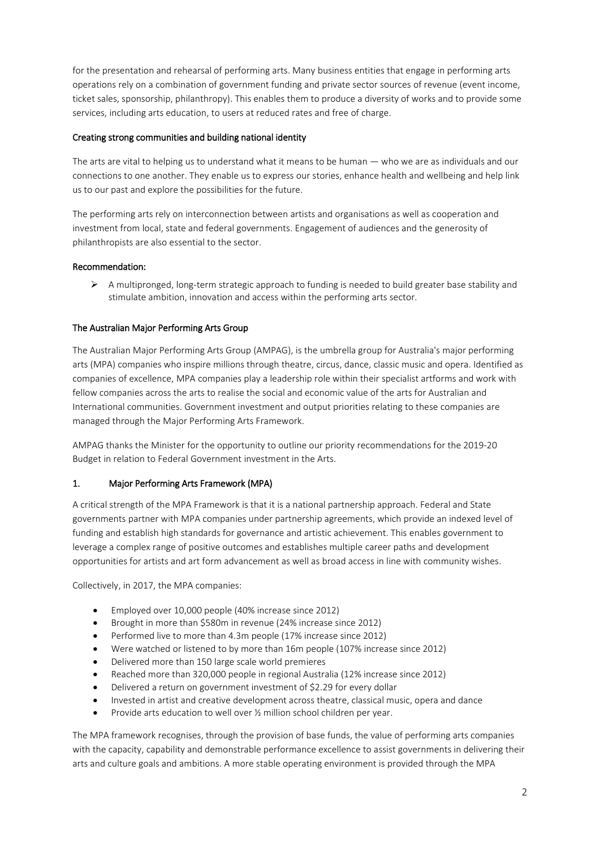for the presentation and rehearsal of performing arts. Many business entities that engage in performing arts operations rely on a combination of government funding and private sector sources of revenue (event income, ticket sales, sponsorship, philanthropy). This enables them to produce a diversity of works and to provide some services, including arts education, to users at reduced rates and free of charge.

## Creating strong communities and building national identity

The arts are vital to helping us to understand what it means to be human — who we are as individuals and our connections to one another. They enable us to express our stories, enhance health and wellbeing and help link us to our past and explore the possibilities for the future.

The performing arts rely on interconnection between artists and organisations as well as cooperation and investment from local, state and federal governments. Engagement of audiences and the generosity of philanthropists are also essential to the sector.

## Recommendation:

 $\triangleright$  A multipronged, long-term strategic approach to funding is needed to build greater base stability and stimulate ambition, innovation and access within the performing arts sector.

## The Australian Major Performing Arts Group

The Australian Major Performing Arts Group (AMPAG), is the umbrella group for Australia's major performing arts (MPA) companies who inspire millions through theatre, circus, dance, classic music and opera. Identified as companies of excellence, MPA companies play a leadership role within their specialist artforms and work with fellow companies across the arts to realise the social and economic value of the arts for Australian and International communities. Government investment and output priorities relating to these companies are managed through the Major Performing Arts Framework.

AMPAG thanks the Minister for the opportunity to outline our priority recommendations for the 2019-20 Budget in relation to Federal Government investment in the Arts.

## 1. Major Performing Arts Framework (MPA)

A critical strength of the MPA Framework is that it is a national partnership approach. Federal and State governments partner with MPA companies under partnership agreements, which provide an indexed level of funding and establish high standards for governance and artistic achievement. This enables government to leverage a complex range of positive outcomes and establishes multiple career paths and development opportunities for artists and art form advancement as well as broad access in line with community wishes.

Collectively, in 2017, the MPA companies:

- Employed over 10,000 people (40% increase since 2012)
- Brought in more than \$580m in revenue (24% increase since 2012)
- Performed live to more than 4.3m people (17% increase since 2012)
- Were watched or listened to by more than 16m people (107% increase since 2012)
- Delivered more than 150 large scale world premieres
- Reached more than 320,000 people in regional Australia (12% increase since 2012)
- Delivered a return on government investment of \$2.29 for every dollar
- Invested in artist and creative development across theatre, classical music, opera and dance
- Provide arts education to well over  $\frac{1}{2}$  million school children per year.

The MPA framework recognises, through the provision of base funds, the value of performing arts companies with the capacity, capability and demonstrable performance excellence to assist governments in delivering their arts and culture goals and ambitions. A more stable operating environment is provided through the MPA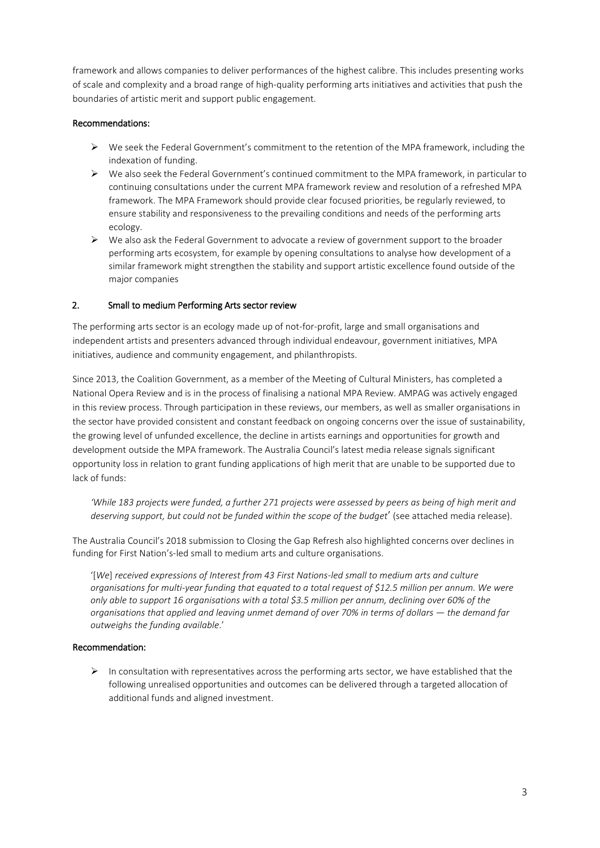framework and allows companies to deliver performances of the highest calibre. This includes presenting works of scale and complexity and a broad range of high-quality performing arts initiatives and activities that push the boundaries of artistic merit and support public engagement.

## Recommendations:

- $\triangleright$  We seek the Federal Government's commitment to the retention of the MPA framework, including the indexation of funding.
- ➢ We also seek the Federal Government's continued commitment to the MPA framework, in particular to continuing consultations under the current MPA framework review and resolution of a refreshed MPA framework. The MPA Framework should provide clear focused priorities, be regularly reviewed, to ensure stability and responsiveness to the prevailing conditions and needs of the performing arts ecology.
- $\triangleright$  We also ask the Federal Government to advocate a review of government support to the broader performing arts ecosystem, for example by opening consultations to analyse how development of a similar framework might strengthen the stability and support artistic excellence found outside of the major companies

## 2. Small to medium Performing Arts sector review

The performing arts sector is an ecology made up of not-for-profit, large and small organisations and independent artists and presenters advanced through individual endeavour, government initiatives, MPA initiatives, audience and community engagement, and philanthropists.

Since 2013, the Coalition Government, as a member of the Meeting of Cultural Ministers, has completed a National Opera Review and is in the process of finalising a national MPA Review. AMPAG was actively engaged in this review process. Through participation in these reviews, our members, as well as smaller organisations in the sector have provided consistent and constant feedback on ongoing concerns over the issue of sustainability, the growing level of unfunded excellence, the decline in artists earnings and opportunities for growth and development outside the MPA framework. The Australia Council's latest media release signals significant opportunity loss in relation to grant funding applications of high merit that are unable to be supported due to lack of funds:

*'While 183 projects were funded, a further 271 projects were assessed by peers as being of high merit and deserving support, but could not be funded within the scope of the budget*' (see attached media release).

The Australia Council's 2018 submission to Closing the Gap Refresh also highlighted concerns over declines in funding for First Nation's-led small to medium arts and culture organisations.

'[*We*] *received expressions of Interest from 43 First Nations-led small to medium arts and culture organisations for multi-year funding that equated to a total request of \$12.5 million per annum. We were only able to support 16 organisations with a total \$3.5 million per annum, declining over 60% of the organisations that applied and leaving unmet demand of over 70% in terms of dollars — the demand far outweighs the funding available*.'

## Recommendation:

 $\triangleright$  In consultation with representatives across the performing arts sector, we have established that the following unrealised opportunities and outcomes can be delivered through a targeted allocation of additional funds and aligned investment.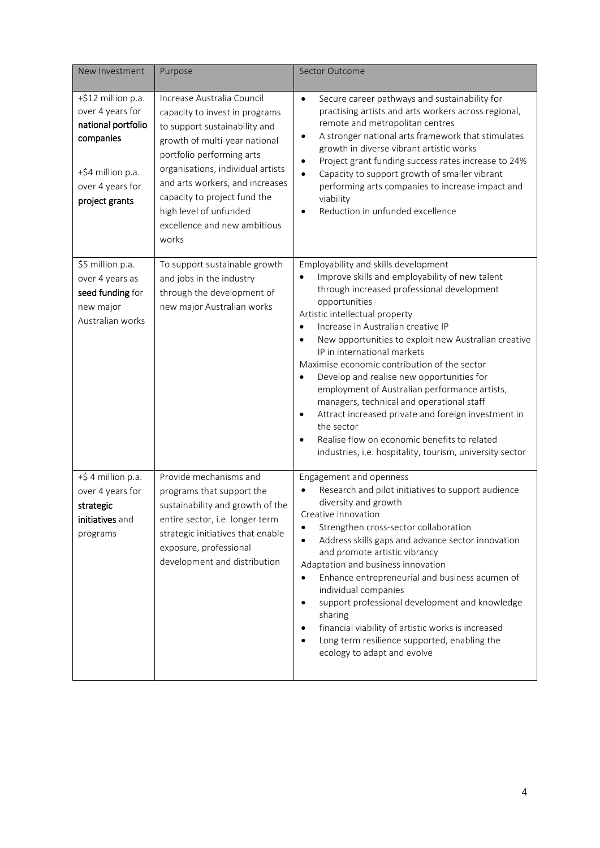| New Investment                                                                                                                       | Purpose                                                                                                                                                                                                                                                                                                                                | Sector Outcome                                                                                                                                                                                                                                                                                                                                                                                                                                                                                                                                                                                                                                                                                                                                       |
|--------------------------------------------------------------------------------------------------------------------------------------|----------------------------------------------------------------------------------------------------------------------------------------------------------------------------------------------------------------------------------------------------------------------------------------------------------------------------------------|------------------------------------------------------------------------------------------------------------------------------------------------------------------------------------------------------------------------------------------------------------------------------------------------------------------------------------------------------------------------------------------------------------------------------------------------------------------------------------------------------------------------------------------------------------------------------------------------------------------------------------------------------------------------------------------------------------------------------------------------------|
| +\$12 million p.a.<br>over 4 years for<br>national portfolio<br>companies<br>+\$4 million p.a.<br>over 4 years for<br>project grants | Increase Australia Council<br>capacity to invest in programs<br>to support sustainability and<br>growth of multi-year national<br>portfolio performing arts<br>organisations, individual artists<br>and arts workers, and increases<br>capacity to project fund the<br>high level of unfunded<br>excellence and new ambitious<br>works | Secure career pathways and sustainability for<br>$\bullet$<br>practising artists and arts workers across regional,<br>remote and metropolitan centres<br>A stronger national arts framework that stimulates<br>$\bullet$<br>growth in diverse vibrant artistic works<br>Project grant funding success rates increase to 24%<br>$\bullet$<br>Capacity to support growth of smaller vibrant<br>$\bullet$<br>performing arts companies to increase impact and<br>viability<br>Reduction in unfunded excellence                                                                                                                                                                                                                                          |
| \$5 million p.a.<br>over 4 years as<br>seed funding for<br>new major<br>Australian works                                             | To support sustainable growth<br>and jobs in the industry<br>through the development of<br>new major Australian works                                                                                                                                                                                                                  | Employability and skills development<br>Improve skills and employability of new talent<br>through increased professional development<br>opportunities<br>Artistic intellectual property<br>Increase in Australian creative IP<br>$\bullet$<br>New opportunities to exploit new Australian creative<br>$\bullet$<br>IP in international markets<br>Maximise economic contribution of the sector<br>Develop and realise new opportunities for<br>$\bullet$<br>employment of Australian performance artists,<br>managers, technical and operational staff<br>Attract increased private and foreign investment in<br>$\bullet$<br>the sector<br>Realise flow on economic benefits to related<br>industries, i.e. hospitality, tourism, university sector |
| +\$ 4 million p.a.<br>over 4 years for<br>strategic<br>initiatives and<br>programs                                                   | Provide mechanisms and<br>programs that support the<br>sustainability and growth of the<br>entire sector, i.e. longer term<br>strategic initiatives that enable<br>exposure, professional<br>development and distribution                                                                                                              | Engagement and openness<br>Research and pilot initiatives to support audience<br>diversity and growth<br>Creative innovation<br>Strengthen cross-sector collaboration<br>$\bullet$<br>Address skills gaps and advance sector innovation<br>$\bullet$<br>and promote artistic vibrancy<br>Adaptation and business innovation<br>Enhance entrepreneurial and business acumen of<br>$\bullet$<br>individual companies<br>support professional development and knowledge<br>$\bullet$<br>sharing<br>financial viability of artistic works is increased<br>$\bullet$<br>Long term resilience supported, enabling the<br>$\bullet$<br>ecology to adapt and evolve                                                                                          |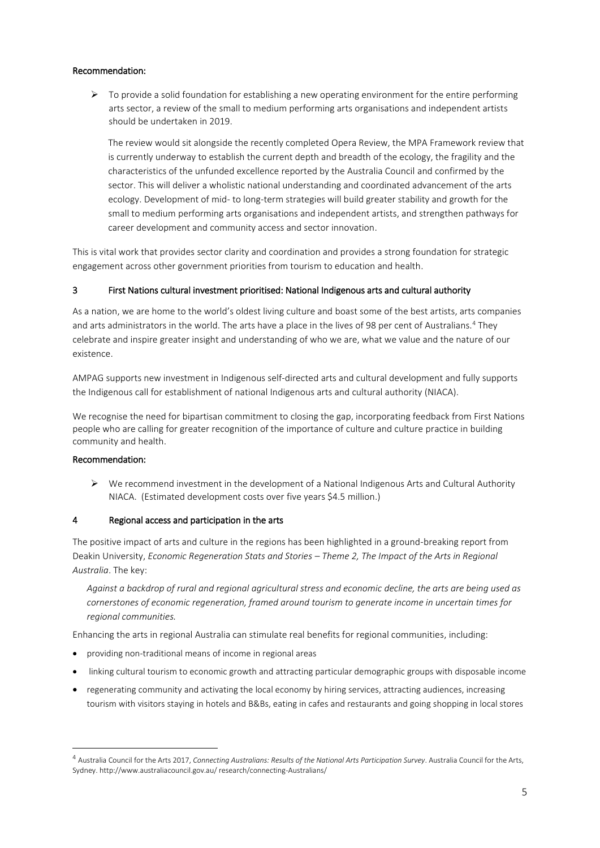## Recommendation:

➢ To provide a solid foundation for establishing a new operating environment for the entire performing arts sector, a review of the small to medium performing arts organisations and independent artists should be undertaken in 2019.

The review would sit alongside the recently completed Opera Review, the MPA Framework review that is currently underway to establish the current depth and breadth of the ecology, the fragility and the characteristics of the unfunded excellence reported by the Australia Council and confirmed by the sector. This will deliver a wholistic national understanding and coordinated advancement of the arts ecology. Development of mid- to long-term strategies will build greater stability and growth for the small to medium performing arts organisations and independent artists, and strengthen pathways for career development and community access and sector innovation.

This is vital work that provides sector clarity and coordination and provides a strong foundation for strategic engagement across other government priorities from tourism to education and health.

## 3 First Nations cultural investment prioritised: National Indigenous arts and cultural authority

As a nation, we are home to the world's oldest living culture and boast some of the best artists, arts companies and arts administrators in the world. The arts have a place in the lives of 98 per cent of Australians.<sup>4</sup> They celebrate and inspire greater insight and understanding of who we are, what we value and the nature of our existence.

AMPAG supports new investment in Indigenous self-directed arts and cultural development and fully supports the Indigenous call for establishment of national Indigenous arts and cultural authority (NIACA).

We recognise the need for bipartisan commitment to closing the gap, incorporating feedback from First Nations people who are calling for greater recognition of the importance of culture and culture practice in building community and health.

## Recommendation:

**.** 

 $\triangleright$  We recommend investment in the development of a National Indigenous Arts and Cultural Authority NIACA. (Estimated development costs over five years \$4.5 million.)

## 4 Regional access and participation in the arts

The positive impact of arts and culture in the regions has been highlighted in a ground-breaking report from Deakin University, *Economic Regeneration Stats and Stories – Theme 2, The Impact of the Arts in Regional Australia*. The key:

*Against a backdrop of rural and regional agricultural stress and economic decline, the arts are being used as cornerstones of economic regeneration, framed around tourism to generate income in uncertain times for regional communities.*

Enhancing the arts in regional Australia can stimulate real benefits for regional communities, including:

- providing non-traditional means of income in regional areas
- linking cultural tourism to economic growth and attracting particular demographic groups with disposable income
- regenerating community and activating the local economy by hiring services, attracting audiences, increasing tourism with visitors staying in hotels and B&Bs, eating in cafes and restaurants and going shopping in local stores

<sup>4</sup> Australia Council for the Arts 2017, *Connecting Australians: Results of the National Arts Participation Survey*. Australia Council for the Arts, Sydney. http://www.australiacouncil.gov.au/ research/connecting-Australians/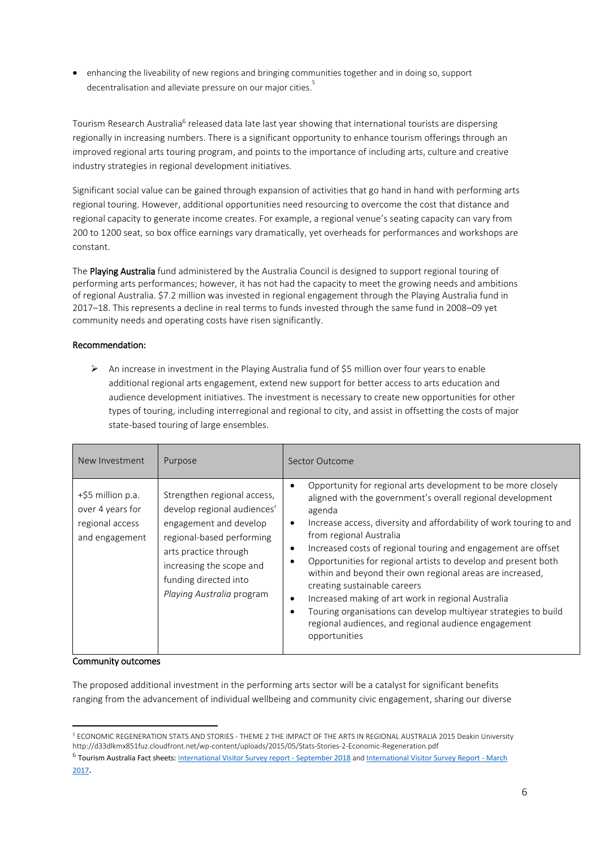• enhancing the liveability of new regions and bringing communities together and in doing so, support decentralisation and alleviate pressure on our major cities.<sup>5</sup>

Tourism Research Australia<sup>6</sup> released data late last year showing that international tourists are dispersing regionally in increasing numbers. There is a significant opportunity to enhance tourism offerings through an improved regional arts touring program, and points to the importance of including arts, culture and creative industry strategies in regional development initiatives.

Significant social value can be gained through expansion of activities that go hand in hand with performing arts regional touring. However, additional opportunities need resourcing to overcome the cost that distance and regional capacity to generate income creates. For example, a regional venue's seating capacity can vary from 200 to 1200 seat, so box office earnings vary dramatically, yet overheads for performances and workshops are constant.

The Playing Australia fund administered by the Australia Council is designed to support regional touring of performing arts performances; however, it has not had the capacity to meet the growing needs and ambitions of regional Australia. \$7.2 million was invested in regional engagement through the Playing Australia fund in 2017–18. This represents a decline in real terms to funds invested through the same fund in 2008–09 yet community needs and operating costs have risen significantly.

# Recommendation:

➢ An increase in investment in the Playing Australia fund of \$5 million over four years to enable additional regional arts engagement, extend new support for better access to arts education and audience development initiatives. The investment is necessary to create new opportunities for other types of touring, including interregional and regional to city, and assist in offsetting the costs of major state-based touring of large ensembles.

| New Investment                                                             | Purpose                                                                                                                                                                                                                      | Sector Outcome                                                                                                                                                                                                                                                                                                                                                                                                                                                                                                                                                                                                                                                                                                                    |
|----------------------------------------------------------------------------|------------------------------------------------------------------------------------------------------------------------------------------------------------------------------------------------------------------------------|-----------------------------------------------------------------------------------------------------------------------------------------------------------------------------------------------------------------------------------------------------------------------------------------------------------------------------------------------------------------------------------------------------------------------------------------------------------------------------------------------------------------------------------------------------------------------------------------------------------------------------------------------------------------------------------------------------------------------------------|
| +\$5 million p.a.<br>over 4 years for<br>regional access<br>and engagement | Strengthen regional access,<br>develop regional audiences'<br>engagement and develop<br>regional-based performing<br>arts practice through<br>increasing the scope and<br>funding directed into<br>Playing Australia program | Opportunity for regional arts development to be more closely<br>$\bullet$<br>aligned with the government's overall regional development<br>agenda<br>Increase access, diversity and affordability of work touring to and<br>$\bullet$<br>from regional Australia<br>Increased costs of regional touring and engagement are offset<br>٠<br>Opportunities for regional artists to develop and present both<br>within and beyond their own regional areas are increased,<br>creating sustainable careers<br>Increased making of art work in regional Australia<br>$\bullet$<br>Touring organisations can develop multiyear strategies to build<br>$\bullet$<br>regional audiences, and regional audience engagement<br>opportunities |

## Community outcomes

The proposed additional investment in the performing arts sector will be a catalyst for significant benefits ranging from the advancement of individual wellbeing and community civic engagement, sharing our diverse

 $\overline{a}$ <sup>5</sup> ECONOMIC REGENERATION STATS AND STORIES - THEME 2 THE IMPACT OF THE ARTS IN REGIONAL AUSTRALIA 2015 Deakin University http://d33dlkmx851fuz.cloudfront.net/wp-content/uploads/2015/05/Stats-Stories-2-Economic-Regeneration.pdf

<sup>&</sup>lt;sup>6</sup> Tourism Australia Fact sheets: I[nternational Visitor Survey report -](https://www.tra.gov.au/ArticleDocuments/185/IVS_September_2018.pdf.aspx) September 2018 and [International Visitor Survey Report -](https://www.tra.gov.au/ArticleDocuments/250/IVS_one_pager_March2017.pdf.aspx) March [2017](https://www.tra.gov.au/ArticleDocuments/250/IVS_one_pager_March2017.pdf.aspx).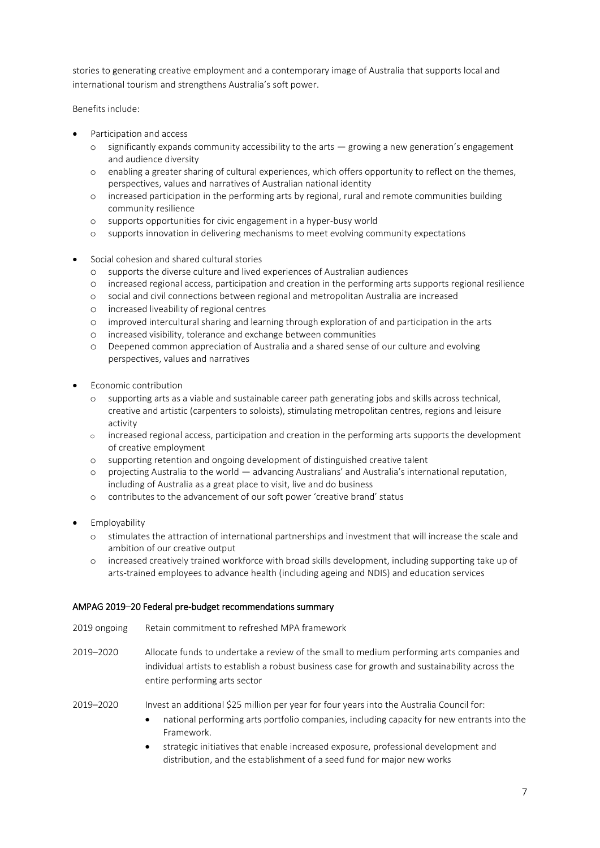stories to generating creative employment and a contemporary image of Australia that supports local and international tourism and strengthens Australia's soft power.

Benefits include:

- Participation and access
	- o significantly expands community accessibility to the arts growing a new generation's engagement and audience diversity
	- o enabling a greater sharing of cultural experiences, which offers opportunity to reflect on the themes, perspectives, values and narratives of Australian national identity
	- o increased participation in the performing arts by regional, rural and remote communities building community resilience
	- o supports opportunities for civic engagement in a hyper-busy world
	- o supports innovation in delivering mechanisms to meet evolving community expectations
- Social cohesion and shared cultural stories
	- o supports the diverse culture and lived experiences of Australian audiences
	- o increased regional access, participation and creation in the performing arts supports regional resilience
	- o social and civil connections between regional and metropolitan Australia are increased
	- o increased liveability of regional centres
	- o improved intercultural sharing and learning through exploration of and participation in the arts
	- o increased visibility, tolerance and exchange between communities
	- o Deepened common appreciation of Australia and a shared sense of our culture and evolving perspectives, values and narratives
- Economic contribution
	- o supporting arts as a viable and sustainable career path generating jobs and skills across technical, creative and artistic (carpenters to soloists), stimulating metropolitan centres, regions and leisure activity
	- o increased regional access, participation and creation in the performing arts supports the development of creative employment
	- o supporting retention and ongoing development of distinguished creative talent
	- o projecting Australia to the world advancing Australians' and Australia's international reputation, including of Australia as a great place to visit, live and do business
	- o contributes to the advancement of our soft power 'creative brand' status
- **Employability** 
	- o stimulates the attraction of international partnerships and investment that will increase the scale and ambition of our creative output
	- o increased creatively trained workforce with broad skills development, including supporting take up of arts-trained employees to advance health (including ageing and NDIS) and education services

## AMPAG 2019–20 Federal pre-budget recommendations summary

- 2019 ongoing Retain commitment to refreshed MPA framework
- 2019–2020 Allocate funds to undertake a review of the small to medium performing arts companies and individual artists to establish a robust business case for growth and sustainability across the entire performing arts sector
- 2019–2020 Invest an additional \$25 million per year for four years into the Australia Council for:
	- national performing arts portfolio companies, including capacity for new entrants into the Framework.
	- strategic initiatives that enable increased exposure, professional development and distribution, and the establishment of a seed fund for major new works